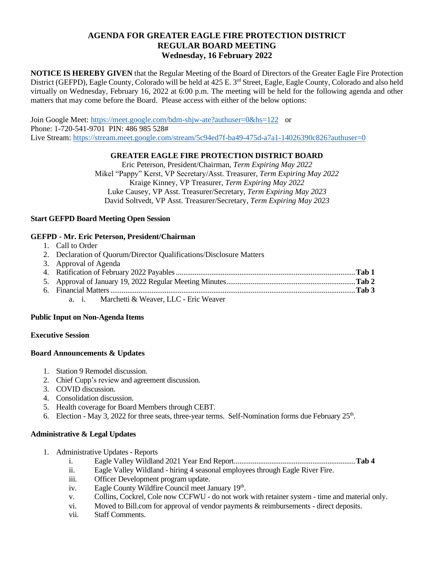## **AGENDA FOR GREATER EAGLE FIRE PROTECTION DISTRICT REGULAR BOARD MEETING Wednesday, 16 February 2022**

**NOTICE IS HEREBY GIVEN** that the Regular Meeting of the Board of Directors of the Greater Eagle Fire Protection District (GEFPD), Eagle County, Colorado will be held at 425 E. 3<sup>rd</sup> Street, Eagle, Eagle County, Colorado and also held virtually on Wednesday, February 16, 2022 at 6:00 p.m. The meeting will be held for the following agenda and other matters that may come before the Board. Please access with either of the below options:

Join Google Meet: <https://meet.google.com/bdm-shjw-ate?authuser=0&hs=122> or Phone: 1-720-541-9701 PIN: 486 985 528# Live Stream:<https://stream.meet.google.com/stream/5c94ed7f-ba49-475d-a7a1-14026390c826?authuser=0>

### **GREATER EAGLE FIRE PROTECTION DISTRICT BOARD**

Eric Peterson, President/Chairman, *Term Expiring May 2022* Mikel "Pappy" Kerst, VP Secretary/Asst. Treasurer, *Term Expiring May 2022* Kraige Kinney, VP Treasurer, *Term Expiring May 2022* Luke Causey, VP Asst. Treasurer/Secretary, *Term Expiring May 2023* David Soltvedt, VP Asst. Treasurer/Secretary, *Term Expiring May 2023*

### **Start GEFPD Board Meeting Open Session**

## **GEFPD - Mr. Eric Peterson, President/Chairman**

- 1. Call to Order
- 2. Declaration of Quorum/Director Qualifications/Disclosure Matters
- 3. Approval of Agenda 4. Ratification of February 2022 Payables................................................................................................**Tab 1** 5. Approval of January 19, 2022 Regular Meeting Minutes.....................................................................**Tab 2** 6. Financial Matters...................................................................................................................................**Tab 3**
	- a. i. Marchetti & Weaver, LLC Eric Weaver

#### **Public Input on Non-Agenda Items**

#### **Executive Session**

#### **Board Announcements & Updates**

- 1. Station 9 Remodel discussion.
- 2. Chief Cupp's review and agreement discussion.
- 3. COVID discussion.
- 4. Consolidation discussion.
- 5. Health coverage for Board Members through CEBT.
- 6. Election May 3, 2022 for three seats, three-year terms. Self-Nomination forms due February  $25<sup>th</sup>$ .

#### **Administrative & Legal Updates**

- 1. Administrative Updates Reports
	- i. Eagle Valley Wildland 2021 Year End Report.................................................................**Tab 4**
	- ii. Eagle Valley Wildland hiring 4 seasonal employees through Eagle River Fire.
	- iii. Officer Development program update.
	- iv. Eagle County Wildfire Council meet January 19<sup>th</sup>.
	- v. Collins, Cockrel, Cole now CCFWU do not work with retainer system time and material only.
	- vi. Moved to Bill.com for approval of vendor payments & reimbursements direct deposits.
	- vii. Staff Comments.